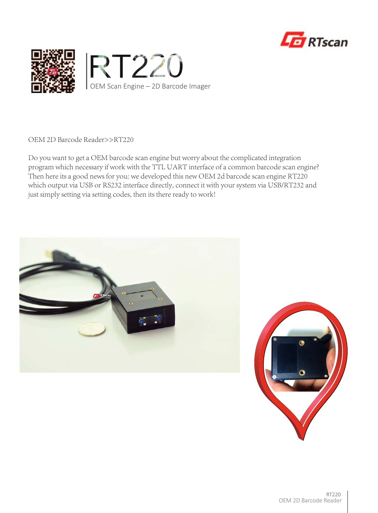



OEM 2D Barcode Reader>>RT220

Do you want to get a OEM barcode scan engine but worry about the complicated integration program which necessary if work with the TTL UART interface of a common barcode scan engine? Then here its a good news for you: we developed this new OEM 2d barcode scan engine RT220 which output via USB or RS232 interface directly, connect it with your system via USB/RT232 and just simply setting via setting codes, then its there ready to work!



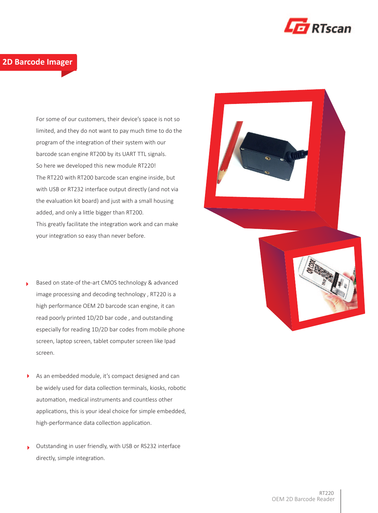

### **2D Barcode Imager**

For some of our customers, their device's space is not so limited, and they do not want to pay much time to do the program of the integration of their system with our barcode scan engine RT200 by its UART TTL signals. So here we developed this new module RT220! The RT220 with RT200 barcode scan engine inside, but with USB or RT232 interface output directly (and not via the evaluation kit board) and just with a small housing added, and only a little bigger than RT200. This greatly facilitate the integration work and can make your integration so easy than never before.

- Based on state-of the-art CMOS technology & advanced image processing and decoding technology , RT220 is a high performance OEM 2D barcode scan engine, it can read poorly printed 1D/2D bar code , and outstanding especially for reading 1D/2D bar codes from mobile phone screen, laptop screen, tablet computer screen like Ipad screen.
- As an embedded module, it's compact designed and can be widely used for data collection terminals, kiosks, robotic automation, medical instruments and countless other applications, this is your ideal choice for simple embedded, high-performance data collection application.
- Outstanding in user friendly, with USB or RS232 interface directly, simple integration.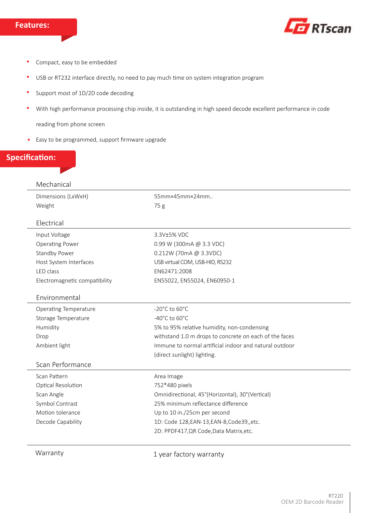

- Compact, easy to be embedded  $\bullet$
- USB or RT232 interface directly, no need to pay much time on system integration program  $\bullet$
- Support most of 1D/2D code decoding  $\bullet$
- With high performance processing chip inside, it is outstanding in high speed decode excellent performance in code  $\bullet$

reading from phone screen

Easy to be programmed, support firmware upgrade  $\bullet$ 

# **Specification:**

#### Mechanical

Dimensions (LxWxH) Weight

55mm×45mm×24mm.. 75 g

#### Electrical

| Input Voltage                 | 3.3V±5% VDC                                            |  |
|-------------------------------|--------------------------------------------------------|--|
| <b>Operating Power</b>        | 0.99 W (300mA @ 3.3 VDC)                               |  |
| Standby Power                 | 0.212W (70mA @ 3.3VDC)                                 |  |
| Host System Interfaces        | USB virtual COM, USB-HID, RS232                        |  |
| LED class                     | EN62471:2008                                           |  |
| Electromagnetic compatibility | EN55022, EN55024, EN60950-1                            |  |
|                               |                                                        |  |
| Environmental                 |                                                        |  |
| <b>Operating Temperature</b>  | $-20^{\circ}$ C to 60 $^{\circ}$ C                     |  |
| Storage Temperature           | $-40^{\circ}$ C to 60 $^{\circ}$ C                     |  |
| Humidity                      | 5% to 95% relative humidity, non-condensing            |  |
| Drop                          | withstand 1.0 m drops to concrete on each of the faces |  |
| Ambient light                 | Immune to normal artificial indoor and natural outdoor |  |
|                               | (direct sunlight) lighting.                            |  |
| Scan Performance              |                                                        |  |
| Scan Pattern                  | Area Image                                             |  |
| Optical Resolution            | 752*480 pixels                                         |  |
| Scan Angle                    | Omnidirectional, 45°(Horizontal), 30°(Vertical)        |  |
| Symbol Contrast               | 25% minimum reflectance difference                     |  |
| Motion tolerance              | Up to 10 in./25cm per second                           |  |
| Decode Capability             | 1D: Code 128, EAN-13, EAN-8, Code 39, etc.             |  |
|                               | 2D: PPDF417, QR Code, Data Matrix, etc.                |  |
|                               |                                                        |  |
| Warranty                      | 1 year factory warranty                                |  |